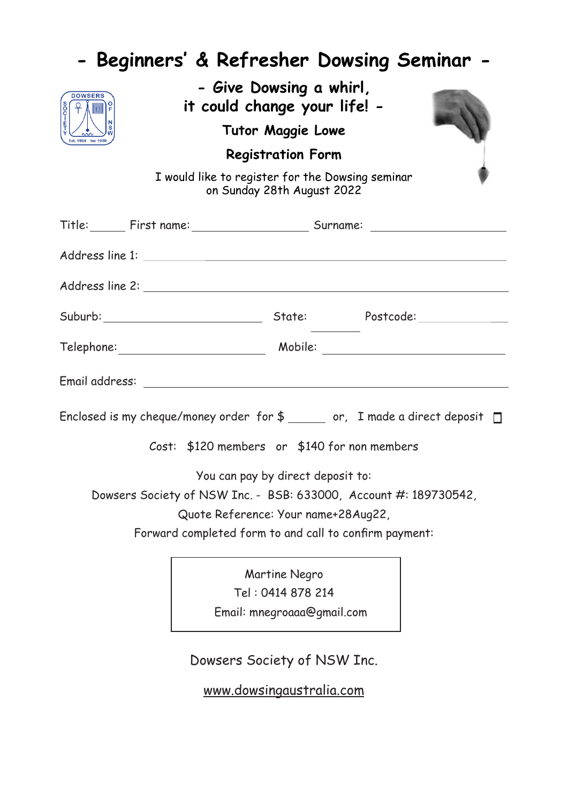|                | <b>Beginners' &amp; Refresher Dowsing Seminar -</b>                                                     |
|----------------|---------------------------------------------------------------------------------------------------------|
| <b>DOWSERS</b> | - Give Dowsing a whirl,<br>it could change your life! -                                                 |
|                | <b>Tutor Maggie Lowe</b>                                                                                |
|                | <b>Registration Form</b>                                                                                |
|                | I would like to register for the Dowsing seminar<br>on Sunday 28th August 2022                          |
|                |                                                                                                         |
|                |                                                                                                         |
|                |                                                                                                         |
|                |                                                                                                         |
|                |                                                                                                         |
|                |                                                                                                         |
|                | Enclosed is my cheque/money order for $$$ or, I made a direct deposit $\square$                         |
|                | Cost: $$120$ members or $$140$ for non members                                                          |
|                | You can pay by direct deposit to:                                                                       |
|                | Dowsers Society of NSW Inc. - BSB: 633000, Account #: 189730542,<br>Quote Reference: Your name+28Aug22, |
|                | Forward completed form to and call to confirm payment:                                                  |
|                | Martine Negro                                                                                           |
|                | Tel: 0414 878 214                                                                                       |
|                | Email: mnegroaaa@gmail.com                                                                              |
|                | Dowsers Society of NSW Inc.                                                                             |
|                | www.dowsingaustralia.com                                                                                |